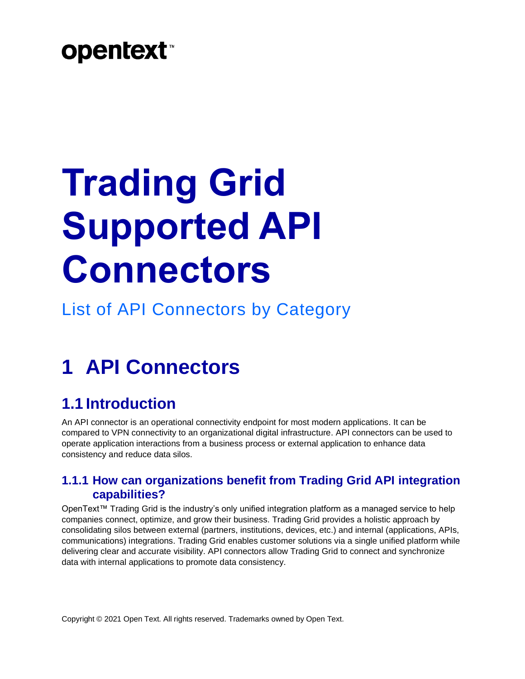# **opentext™**

# **Trading Grid Supported API Connectors**

List of API Connectors by Category

## **1 API Connectors**

#### **1.1 Introduction**

An API connector is an operational connectivity endpoint for most modern applications. It can be compared to VPN connectivity to an organizational digital infrastructure. API connectors can be used to operate application interactions from a business process or external application to enhance data consistency and reduce data silos.

#### **1.1.1 How can organizations benefit from Trading Grid API integration capabilities?**

OpenText™ Trading Grid is the industry's only unified integration platform as a managed service to help companies connect, optimize, and grow their business. Trading Grid provides a holistic approach by consolidating silos between external (partners, institutions, devices, etc.) and internal (applications, APIs, communications) integrations. Trading Grid enables customer solutions via a single unified platform while delivering clear and accurate visibility. API connectors allow Trading Grid to connect and synchronize data with internal applications to promote data consistency.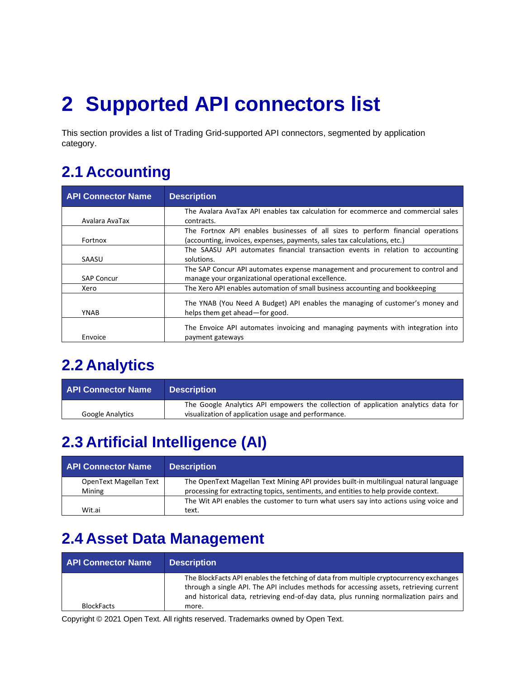# **2 Supported API connectors list**

This section provides a list of Trading Grid-supported API connectors, segmented by application category.

#### **2.1 Accounting**

| <b>API Connector Name</b> | <b>Description</b>                                                                                                                                          |
|---------------------------|-------------------------------------------------------------------------------------------------------------------------------------------------------------|
| Avalara AvaTax            | The Avalara AvaTax API enables tax calculation for ecommerce and commercial sales<br>contracts.                                                             |
| Fortnox                   | The Fortnox API enables businesses of all sizes to perform financial operations<br>(accounting, invoices, expenses, payments, sales tax calculations, etc.) |
| SAASU                     | The SAASU API automates financial transaction events in relation to accounting<br>solutions.                                                                |
| <b>SAP Concur</b>         | The SAP Concur API automates expense management and procurement to control and<br>manage your organizational operational excellence.                        |
| Xero                      | The Xero API enables automation of small business accounting and bookkeeping                                                                                |
| YNAB                      | The YNAB (You Need A Budget) API enables the managing of customer's money and<br>helps them get ahead—for good.                                             |
| Envoice                   | The Envoice API automates invoicing and managing payments with integration into<br>payment gateways                                                         |

#### **2.2 Analytics**

| <b>API Connector Name</b> | <b>Description</b>                                                                                                                        |
|---------------------------|-------------------------------------------------------------------------------------------------------------------------------------------|
| <b>Google Analytics</b>   | The Google Analytics API empowers the collection of application analytics data for<br>visualization of application usage and performance. |

#### **2.3 Artificial Intelligence (AI)**

| <b>API Connector Name</b> | <b>Description</b>                                                                    |
|---------------------------|---------------------------------------------------------------------------------------|
| OpenText Magellan Text    | The OpenText Magellan Text Mining API provides built-in multilingual natural language |
| Mining                    | processing for extracting topics, sentiments, and entities to help provide context.   |
|                           | The Wit API enables the customer to turn what users say into actions using voice and  |
| Wit.ai                    | text.                                                                                 |

#### **2.4 Asset Data Management**

| <b>API Connector Name</b> | <b>Description</b>                                                                                                                                                                                                                                                         |
|---------------------------|----------------------------------------------------------------------------------------------------------------------------------------------------------------------------------------------------------------------------------------------------------------------------|
|                           | The BlockFacts API enables the fetching of data from multiple cryptocurrency exchanges<br>through a single API. The API includes methods for accessing assets, retrieving current<br>and historical data, retrieving end-of-day data, plus running normalization pairs and |
| <b>BlockFacts</b>         | more.                                                                                                                                                                                                                                                                      |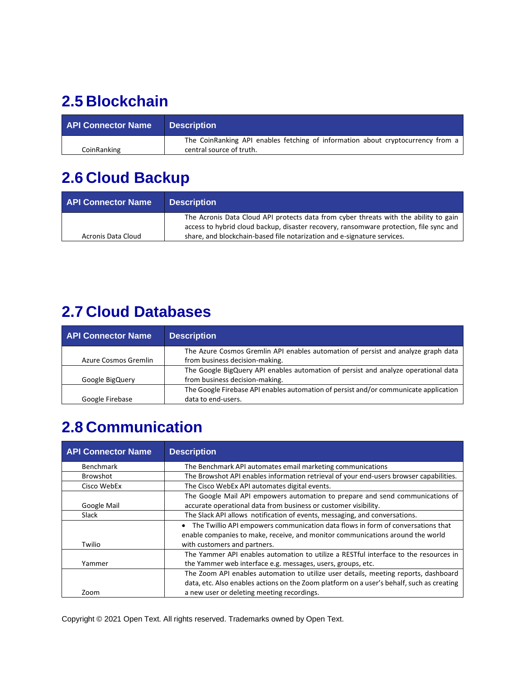#### **2.5 Blockchain**

| <b>API Connector Name</b> | <b>Description</b>                                                              |
|---------------------------|---------------------------------------------------------------------------------|
|                           | The CoinRanking API enables fetching of information about cryptocurrency from a |
| CoinRanking               | central source of truth.                                                        |

#### **2.6 Cloud Backup**

| <b>API Connector Name</b> | <b>Description</b>                                                                                                                                                                                                                                        |
|---------------------------|-----------------------------------------------------------------------------------------------------------------------------------------------------------------------------------------------------------------------------------------------------------|
| Acronis Data Cloud        | The Acronis Data Cloud API protects data from cyber threats with the ability to gain<br>access to hybrid cloud backup, disaster recovery, ransomware protection, file sync and<br>share, and blockchain-based file notarization and e-signature services. |

#### **2.7 Cloud Databases**

| <b>API Connector Name</b> | <b>Description</b>                                                                   |
|---------------------------|--------------------------------------------------------------------------------------|
|                           | The Azure Cosmos Gremlin API enables automation of persist and analyze graph data    |
| Azure Cosmos Gremlin      | from business decision-making.                                                       |
|                           | The Google BigQuery API enables automation of persist and analyze operational data   |
| Google BigQuery           | from business decision-making.                                                       |
|                           | The Google Firebase API enables automation of persist and/or communicate application |
| Google Firebase           | data to end-users.                                                                   |

#### **2.8 Communication**

| <b>API Connector Name</b> | <b>Description</b>                                                                                                                                                                                |
|---------------------------|---------------------------------------------------------------------------------------------------------------------------------------------------------------------------------------------------|
| <b>Benchmark</b>          | The Benchmark API automates email marketing communications                                                                                                                                        |
| <b>Browshot</b>           | The Browshot API enables information retrieval of your end-users browser capabilities.                                                                                                            |
| Cisco WebEx               | The Cisco WebEx API automates digital events.                                                                                                                                                     |
|                           | The Google Mail API empowers automation to prepare and send communications of                                                                                                                     |
| Google Mail               | accurate operational data from business or customer visibility.                                                                                                                                   |
| Slack                     | The Slack API allows notification of events, messaging, and conversations.                                                                                                                        |
| Twilio                    | The Twillio API empowers communication data flows in form of conversations that<br>enable companies to make, receive, and monitor communications around the world<br>with customers and partners. |
| Yammer                    | The Yammer API enables automation to utilize a RESTful interface to the resources in<br>the Yammer web interface e.g. messages, users, groups, etc.                                               |
|                           | The Zoom API enables automation to utilize user details, meeting reports, dashboard<br>data, etc. Also enables actions on the Zoom platform on a user's behalf, such as creating                  |
| Zoom                      | a new user or deleting meeting recordings.                                                                                                                                                        |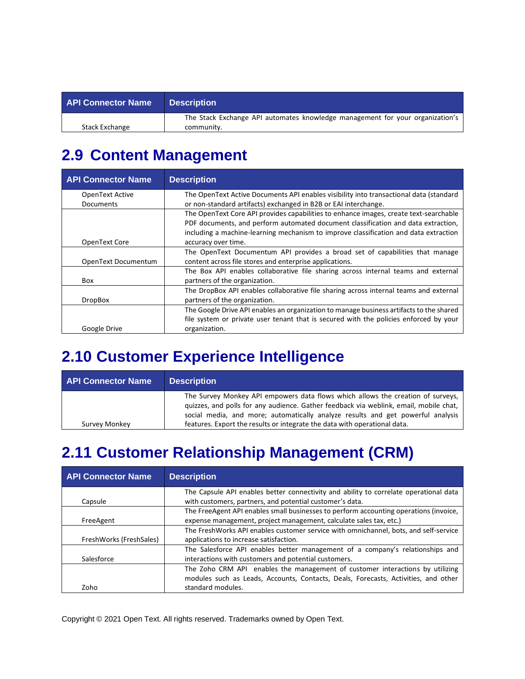| <b>API Connector Name</b> | <b>Description</b>                                                            |
|---------------------------|-------------------------------------------------------------------------------|
|                           | The Stack Exchange API automates knowledge management for your organization's |
| Stack Exchange            | community.                                                                    |

#### **2.9 Content Management**

| <b>API Connector Name</b> | <b>Description</b>                                                                      |
|---------------------------|-----------------------------------------------------------------------------------------|
| OpenText Active           | The OpenText Active Documents API enables visibility into transactional data (standard  |
| Documents                 | or non-standard artifacts) exchanged in B2B or EAI interchange.                         |
|                           | The OpenText Core API provides capabilities to enhance images, create text-searchable   |
|                           | PDF documents, and perform automated document classification and data extraction,       |
|                           | including a machine-learning mechanism to improve classification and data extraction    |
| OpenText Core             | accuracy over time.                                                                     |
|                           | The OpenText Documentum API provides a broad set of capabilities that manage            |
| OpenText Documentum       | content across file stores and enterprise applications.                                 |
|                           | The Box API enables collaborative file sharing across internal teams and external       |
| Box                       | partners of the organization.                                                           |
|                           | The DropBox API enables collaborative file sharing across internal teams and external   |
| <b>DropBox</b>            | partners of the organization.                                                           |
|                           | The Google Drive API enables an organization to manage business artifacts to the shared |
|                           | file system or private user tenant that is secured with the policies enforced by your   |
| Google Drive              | organization.                                                                           |

#### **2.10 Customer Experience Intelligence**

| <b>API Connector Name</b> | <b>Description</b>                                                                                                                                                                                                                                                                                                                       |
|---------------------------|------------------------------------------------------------------------------------------------------------------------------------------------------------------------------------------------------------------------------------------------------------------------------------------------------------------------------------------|
| Survey Monkey             | The Survey Monkey API empowers data flows which allows the creation of surveys,<br>quizzes, and polls for any audience. Gather feedback via weblink, email, mobile chat,<br>social media, and more; automatically analyze results and get powerful analysis<br>features. Export the results or integrate the data with operational data. |

#### **2.11 Customer Relationship Management (CRM)**

| <b>API Connector Name</b> | <b>Description</b>                                                                                                                                                                       |
|---------------------------|------------------------------------------------------------------------------------------------------------------------------------------------------------------------------------------|
| Capsule                   | The Capsule API enables better connectivity and ability to correlate operational data<br>with customers, partners, and potential customer's data.                                        |
| FreeAgent                 | The FreeAgent API enables small businesses to perform accounting operations (invoice,<br>expense management, project management, calculate sales tax, etc.)                              |
| FreshWorks (FreshSales)   | The FreshWorks API enables customer service with omnichannel, bots, and self-service<br>applications to increase satisfaction.                                                           |
| Salesforce                | The Salesforce API enables better management of a company's relationships and<br>interactions with customers and potential customers.                                                    |
| Zoho                      | The Zoho CRM API enables the management of customer interactions by utilizing<br>modules such as Leads, Accounts, Contacts, Deals, Forecasts, Activities, and other<br>standard modules. |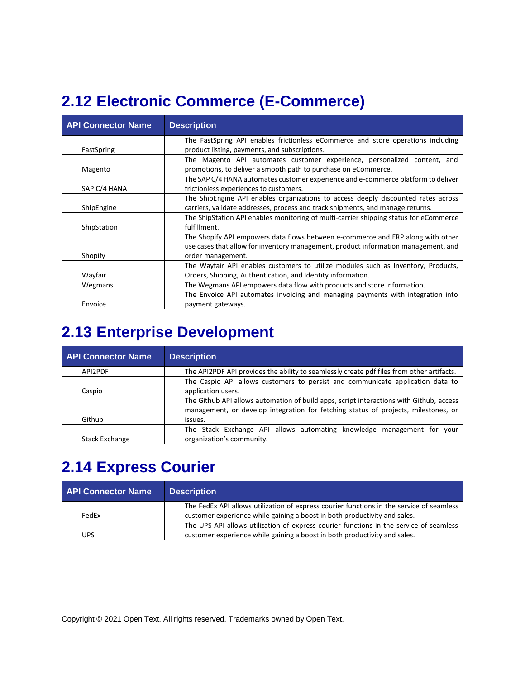#### **2.12 Electronic Commerce (E-Commerce)**

| <b>API Connector Name</b> | <b>Description</b>                                                                                                                                                                         |
|---------------------------|--------------------------------------------------------------------------------------------------------------------------------------------------------------------------------------------|
| FastSpring                | The FastSpring API enables frictionless eCommerce and store operations including<br>product listing, payments, and subscriptions.                                                          |
| Magento                   | The Magento API automates customer experience, personalized content, and<br>promotions, to deliver a smooth path to purchase on eCommerce.                                                 |
| SAP C/4 HANA              | The SAP C/4 HANA automates customer experience and e-commerce platform to deliver<br>frictionless experiences to customers.                                                                |
| ShipEngine                | The ShipEngine API enables organizations to access deeply discounted rates across<br>carriers, validate addresses, process and track shipments, and manage returns.                        |
| ShipStation               | The ShipStation API enables monitoring of multi-carrier shipping status for eCommerce<br>fulfillment.                                                                                      |
| Shopify                   | The Shopify API empowers data flows between e-commerce and ERP along with other<br>use cases that allow for inventory management, product information management, and<br>order management. |
| Wayfair                   | The Wayfair API enables customers to utilize modules such as Inventory, Products,<br>Orders, Shipping, Authentication, and Identity information.                                           |
| Wegmans                   | The Wegmans API empowers data flow with products and store information.                                                                                                                    |
| Envoice                   | The Envoice API automates invoicing and managing payments with integration into<br>payment gateways.                                                                                       |

#### **2.13 Enterprise Development**

| <b>API Connector Name</b> | <b>Description</b>                                                                        |
|---------------------------|-------------------------------------------------------------------------------------------|
| API2PDF                   | The API2PDF API provides the ability to seamlessly create pdf files from other artifacts. |
|                           | The Caspio API allows customers to persist and communicate application data to            |
| Caspio                    | application users.                                                                        |
|                           | The Github API allows automation of build apps, script interactions with Github, access   |
|                           | management, or develop integration for fetching status of projects, milestones, or        |
| Github                    | issues.                                                                                   |
|                           | The Stack Exchange API allows automating knowledge management for your                    |
| <b>Stack Exchange</b>     | organization's community.                                                                 |

#### **2.14 Express Courier**

| <b>API Connector Name</b> | <b>Description</b>                                                                       |
|---------------------------|------------------------------------------------------------------------------------------|
|                           | The FedEx API allows utilization of express courier functions in the service of seamless |
| FedFx                     | customer experience while gaining a boost in both productivity and sales.                |
|                           | The UPS API allows utilization of express courier functions in the service of seamless   |
| <b>UPS</b>                | customer experience while gaining a boost in both productivity and sales.                |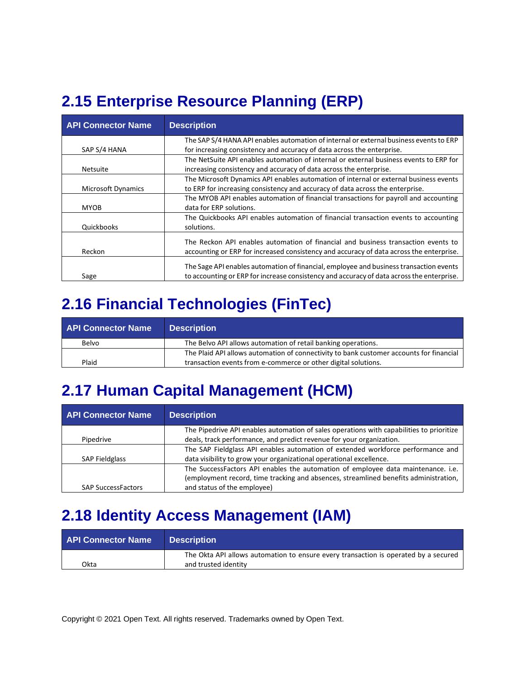### **2.15 Enterprise Resource Planning (ERP)**

| <b>API Connector Name</b> | <b>Description</b>                                                                        |
|---------------------------|-------------------------------------------------------------------------------------------|
|                           | The SAP S/4 HANA API enables automation of internal or external business events to ERP    |
| SAP S/4 HANA              | for increasing consistency and accuracy of data across the enterprise.                    |
|                           | The NetSuite API enables automation of internal or external business events to ERP for    |
| <b>Netsuite</b>           | increasing consistency and accuracy of data across the enterprise.                        |
|                           | The Microsoft Dynamics API enables automation of internal or external business events     |
| <b>Microsoft Dynamics</b> | to ERP for increasing consistency and accuracy of data across the enterprise.             |
|                           | The MYOB API enables automation of financial transactions for payroll and accounting      |
| <b>MYOB</b>               | data for ERP solutions.                                                                   |
|                           | The Quickbooks API enables automation of financial transaction events to accounting       |
| Quickbooks                | solutions.                                                                                |
|                           | The Reckon API enables automation of financial and business transaction events to         |
|                           |                                                                                           |
| Reckon                    | accounting or ERP for increased consistency and accuracy of data across the enterprise.   |
|                           | The Sage API enables automation of financial, employee and business transaction events    |
| Sage                      | to accounting or ERP for increase consistency and accuracy of data across the enterprise. |

#### **2.16 Financial Technologies (FinTec)**

| <b>API Connector Name</b> | <b>Description</b>                                                                      |
|---------------------------|-----------------------------------------------------------------------------------------|
| Belvo                     | The Belvo API allows automation of retail banking operations.                           |
|                           | The Plaid API allows automation of connectivity to bank customer accounts for financial |
| Plaid                     | transaction events from e-commerce or other digital solutions.                          |

#### **2.17 Human Capital Management (HCM)**

| <b>API Connector Name</b> | <b>Description</b>                                                                       |
|---------------------------|------------------------------------------------------------------------------------------|
|                           | The Pipedrive API enables automation of sales operations with capabilities to prioritize |
| Pipedrive                 | deals, track performance, and predict revenue for your organization.                     |
|                           | The SAP Fieldglass API enables automation of extended workforce performance and          |
| <b>SAP Fieldglass</b>     | data visibility to grow your organizational operational excellence.                      |
|                           | The SuccessFactors API enables the automation of employee data maintenance. i.e.         |
|                           | (employment record, time tracking and absences, streamlined benefits administration,     |
| <b>SAP SuccessFactors</b> | and status of the employee)                                                              |

#### **2.18 Identity Access Management (IAM)**

| <b>API Connector Name</b> | <b>Description</b>                                                                  |
|---------------------------|-------------------------------------------------------------------------------------|
|                           | The Okta API allows automation to ensure every transaction is operated by a secured |
| Okta                      | and trusted identity                                                                |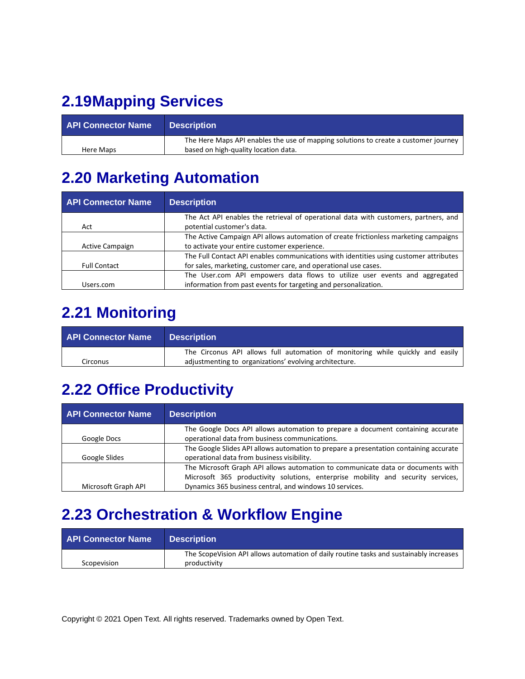#### **2.19Mapping Services**

| <b>API Connector Name</b> | <b>Description</b>                                                                  |
|---------------------------|-------------------------------------------------------------------------------------|
|                           | The Here Maps API enables the use of mapping solutions to create a customer journey |
| Here Maps                 | based on high-quality location data.                                                |

#### **2.20 Marketing Automation**

| <b>API Connector Name</b> | <b>Description</b>                                                                    |
|---------------------------|---------------------------------------------------------------------------------------|
|                           | The Act API enables the retrieval of operational data with customers, partners, and   |
| Act                       | potential customer's data.                                                            |
|                           | The Active Campaign API allows automation of create frictionless marketing campaigns  |
| <b>Active Campaign</b>    | to activate your entire customer experience.                                          |
|                           | The Full Contact API enables communications with identities using customer attributes |
| <b>Full Contact</b>       | for sales, marketing, customer care, and operational use cases.                       |
|                           | The User.com API empowers data flows to utilize user events and aggregated            |
| Users.com                 | information from past events for targeting and personalization.                       |

#### **2.21 Monitoring**

| <b>API Connector Name</b> | <b>Description</b>                                                                                                                       |
|---------------------------|------------------------------------------------------------------------------------------------------------------------------------------|
| Circonus                  | The Circonus API allows full automation of monitoring while quickly and easily<br>adjustmenting to organizations' evolving architecture. |

#### **2.22 Office Productivity**

| <b>API Connector Name</b> | <b>Description</b>                                                                    |
|---------------------------|---------------------------------------------------------------------------------------|
|                           | The Google Docs API allows automation to prepare a document containing accurate       |
| Google Docs               | operational data from business communications.                                        |
|                           | The Google Slides API allows automation to prepare a presentation containing accurate |
| Google Slides             | operational data from business visibility.                                            |
|                           | The Microsoft Graph API allows automation to communicate data or documents with       |
|                           | Microsoft 365 productivity solutions, enterprise mobility and security services,      |
| Microsoft Graph API       | Dynamics 365 business central, and windows 10 services.                               |

#### **2.23 Orchestration & Workflow Engine**

| <b>API Connector Name</b> | <b>Description</b>                                                                     |
|---------------------------|----------------------------------------------------------------------------------------|
|                           | The ScopeVision API allows automation of daily routine tasks and sustainably increases |
| Scopevision               | productivity                                                                           |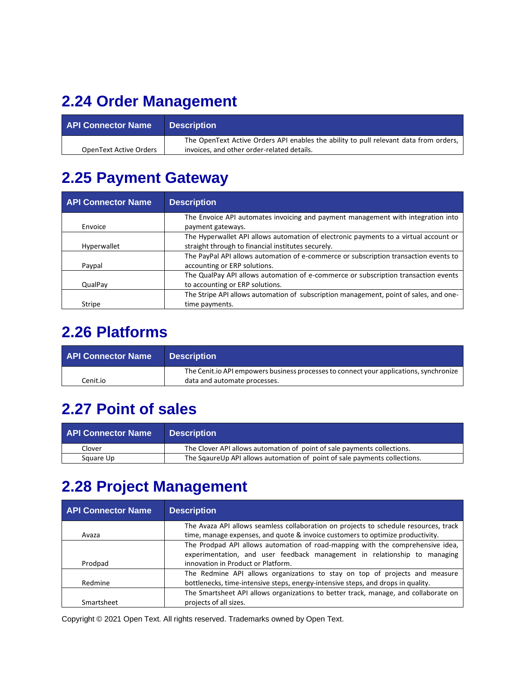## **2.24 Order Management**

| <b>API Connector Name</b> | <b>Description</b>                                                                    |
|---------------------------|---------------------------------------------------------------------------------------|
|                           | The OpenText Active Orders API enables the ability to pull relevant data from orders, |
| OpenText Active Orders    | invoices, and other order-related details.                                            |

#### **2.25 Payment Gateway**

| <b>API Connector Name</b> | <b>Description</b>                                                                    |
|---------------------------|---------------------------------------------------------------------------------------|
|                           | The Envoice API automates invoicing and payment management with integration into      |
| Envoice                   | payment gateways.                                                                     |
|                           | The Hyperwallet API allows automation of electronic payments to a virtual account or  |
| Hyperwallet               | straight through to financial institutes securely.                                    |
|                           | The PayPal API allows automation of e-commerce or subscription transaction events to  |
| Paypal                    | accounting or ERP solutions.                                                          |
|                           | The QualPay API allows automation of e-commerce or subscription transaction events    |
| QualPay                   | to accounting or ERP solutions.                                                       |
|                           | The Stripe API allows automation of subscription management, point of sales, and one- |
| Stripe                    | time payments.                                                                        |

#### **2.26 Platforms**

| <b>API Connector Name</b> | <b>Description</b>                                                                                                     |
|---------------------------|------------------------------------------------------------------------------------------------------------------------|
| Cenit.io                  | The Cenit.io API empowers business processes to connect your applications, synchronize<br>data and automate processes. |

#### **2.27 Point of sales**

| <b>API Connector Name</b> | <b>Description</b>                                                        |
|---------------------------|---------------------------------------------------------------------------|
| Clover                    | The Clover API allows automation of point of sale payments collections.   |
| Square Up                 | The SqaureUp API allows automation of point of sale payments collections. |

#### **2.28 Project Management**

| <b>API Connector Name</b> | <b>Description</b>                                                                                                                                                                                |
|---------------------------|---------------------------------------------------------------------------------------------------------------------------------------------------------------------------------------------------|
|                           | The Avaza API allows seamless collaboration on projects to schedule resources, track                                                                                                              |
| Avaza                     | time, manage expenses, and quote & invoice customers to optimize productivity.                                                                                                                    |
| Prodpad                   | The Prodpad API allows automation of road-mapping with the comprehensive idea,<br>experimentation, and user feedback management in relationship to managing<br>innovation in Product or Platform. |
|                           | The Redmine API allows organizations to stay on top of projects and measure                                                                                                                       |
| Redmine                   | bottlenecks, time-intensive steps, energy-intensive steps, and drops in quality.                                                                                                                  |
|                           | The Smartsheet API allows organizations to better track, manage, and collaborate on                                                                                                               |
| Smartsheet                | projects of all sizes.                                                                                                                                                                            |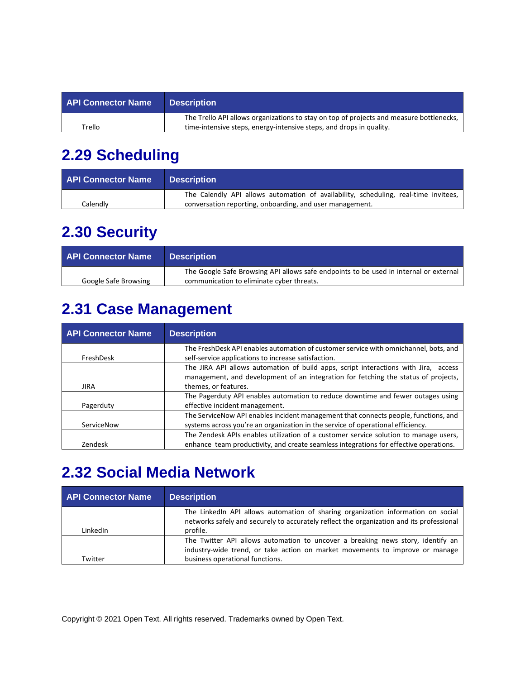| <b>API Connector Name</b> | <b>Description</b>                                                                      |
|---------------------------|-----------------------------------------------------------------------------------------|
|                           | The Trello API allows organizations to stay on top of projects and measure bottlenecks, |
| Trello                    | time-intensive steps, energy-intensive steps, and drops in quality.                     |

#### **2.29 Scheduling**

| <b>API Connector Name</b> | <b>Description</b>                                                                  |
|---------------------------|-------------------------------------------------------------------------------------|
|                           | The Calendly API allows automation of availability, scheduling, real-time invitees, |
| Calendlv                  | conversation reporting, onboarding, and user management.                            |

#### **2.30 Security**

| <b>API Connector Name</b> | <b>Description</b>                                                                    |
|---------------------------|---------------------------------------------------------------------------------------|
|                           | The Google Safe Browsing API allows safe endpoints to be used in internal or external |
| Google Safe Browsing      | communication to eliminate cyber threats.                                             |

### **2.31 Case Management**

| <b>API Connector Name</b> | <b>Description</b>                                                                                                                                                                                |
|---------------------------|---------------------------------------------------------------------------------------------------------------------------------------------------------------------------------------------------|
| FreshDesk                 | The FreshDesk API enables automation of customer service with omnichannel, bots, and<br>self-service applications to increase satisfaction.                                                       |
| <b>JIRA</b>               | The JIRA API allows automation of build apps, script interactions with Jira, access<br>management, and development of an integration for fetching the status of projects,<br>themes, or features. |
| Pagerduty                 | The Pagerduty API enables automation to reduce downtime and fewer outages using<br>effective incident management.                                                                                 |
| ServiceNow                | The ServiceNow API enables incident management that connects people, functions, and<br>systems across you're an organization in the service of operational efficiency.                            |
| Zendesk                   | The Zendesk APIs enables utilization of a customer service solution to manage users,<br>enhance team productivity, and create seamless integrations for effective operations.                     |

#### **2.32 Social Media Network**

| <b>API Connector Name</b> | <b>Description</b>                                                                                                                                                                                 |
|---------------------------|----------------------------------------------------------------------------------------------------------------------------------------------------------------------------------------------------|
| LinkedIn                  | The LinkedIn API allows automation of sharing organization information on social<br>networks safely and securely to accurately reflect the organization and its professional<br>profile.           |
| Twitter                   | The Twitter API allows automation to uncover a breaking news story, identify an<br>industry-wide trend, or take action on market movements to improve or manage<br>business operational functions. |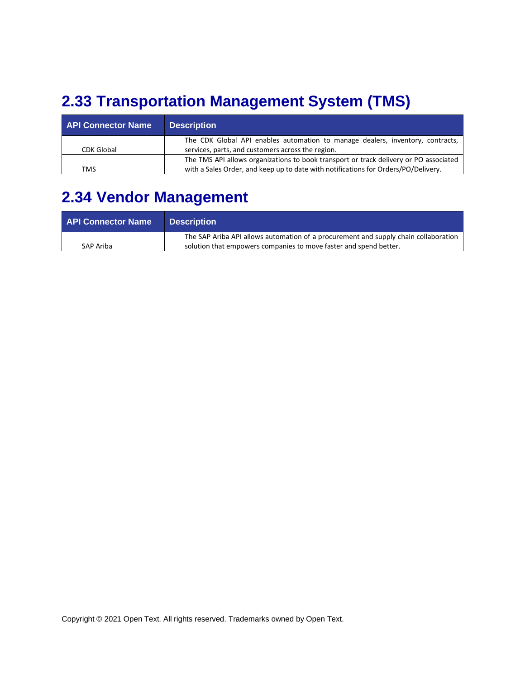#### **2.33 Transportation Management System (TMS)**

| <b>API Connector Name</b> | <b>Description</b>                                                                    |
|---------------------------|---------------------------------------------------------------------------------------|
|                           | The CDK Global API enables automation to manage dealers, inventory, contracts,        |
| <b>CDK Global</b>         | services, parts, and customers across the region.                                     |
|                           | The TMS API allows organizations to book transport or track delivery or PO associated |
| <b>TMS</b>                | with a Sales Order, and keep up to date with notifications for Orders/PO/Delivery.    |

#### **2.34 Vendor Management**

| <b>API Connector Name</b> | <b>Description</b>                                                                  |
|---------------------------|-------------------------------------------------------------------------------------|
|                           | The SAP Ariba API allows automation of a procurement and supply chain collaboration |
| SAP Ariba                 | solution that empowers companies to move faster and spend better.                   |